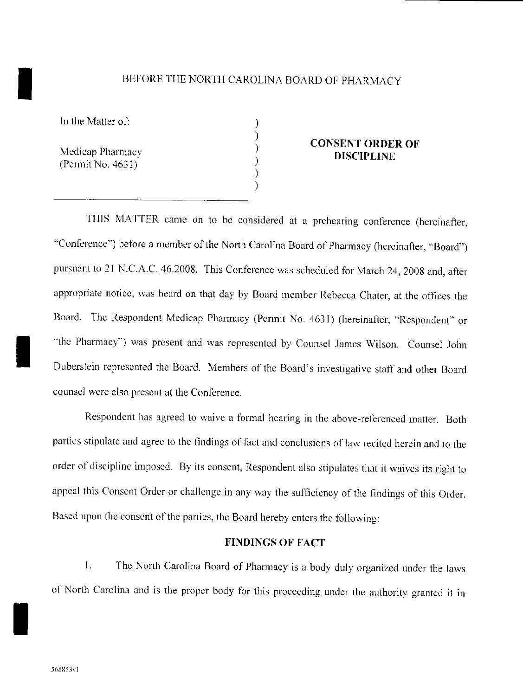# I BEFORE THE NORTH CAROLlNA BOARD OF PHARMACY

) ) ) ) .<br>. .<br>ر

In the Matter of:

Medicap Pharmacy  $(Permit No. 4631)$ 

### CONSENT ORDER OF DISCIPLINE

TillS MATTER came on to be considered at a prehearing confercnce (hereinafter, "Conference") before a member of the North Carolina Board of Pharmacy (hereinafter, "Board") pursuant to 21 N.C.A.C. 46.2008. This Conference was schcduled for March 24, 2008 and, after appropriate notice, was heard on that day by Board mcmber Rebecca Chater, at the offices the Board. The Respondcnt Medieap Pharmacy (Permit No. 4631) (hereinafter, "Respondent" or ··the Pharmacy") was present and was represented by Counsel James Wilson. Counsel John Dnberstein represented the Board. Members of the Board's investigative staff and other Board counsel were also present at the Conference,

Respondent has agreed to waive a formal hearing in the above-referenced matter. Both parties stipulate and agree to the findings of fact and conclusions of law recited herein and to the order of discipline imposed. By its consent, Respondent also stipulates that it waives its right to appeal this Consent Order or challenge in any way the sufficiency of the findings of this Order. Based upon the consent of the parties, the Board hereby enters the following:

### FINDINGS OF FACT

1. The North Carolina Board of Pharmacy is a body duly organized under the laws of North Carolina and is the proper body for this proceeding under the authority granted it in

I

I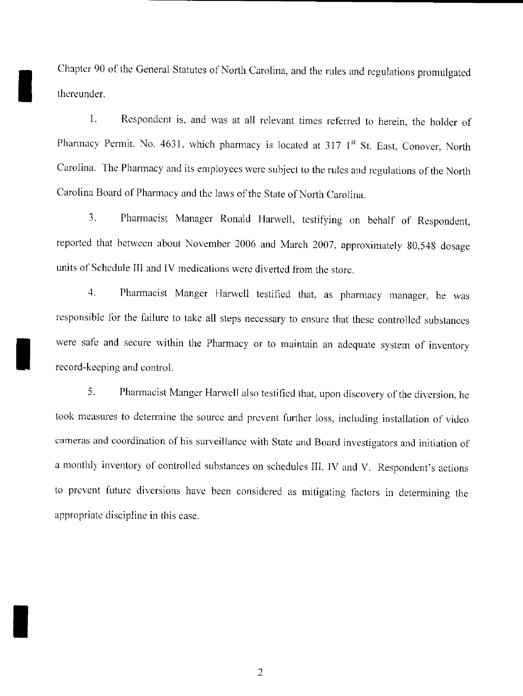Chapter 90 of the General Statutes of North Carolina, and the rules and regulations promulgated thereunder.

I

I

I

I. Respondent is, and was at all relevant times referred to herein, the holder of Pharmacy Permit. No. 4631, which pharmacy is located at 317  $1<sup>st</sup>$  St. East, Conover, North Carolina. The Pharmacy and its employees were subject to the rules and regulations of the North Carolina Board of Pharmacy and the laws of the State of North Carolina.

3. Pharmacist Manager Ronald Harwell, testifying on behalf of Respondent, reported that hetween about November 2006 and March 2007, approximately 80,548 dosage units of Schedule III and IV medications were diverted from the store.

4. Pharmacist Manger Harwell testified that, as pharmacy manager, he was responsible for the failure to take all steps necessary to ensure that these controlled substances were safe and secure within the Pharmacy or to maintain an adequate system of inventory record-keeping and control.

5. Pharmacist Manger Harwell also testified that, upon discovery of the diversion. he took measures to determine the source and prevent further loss, including installation of video cameras and coordination of his surveillance with State and Board investigators and initiation of a monthly inventory of controlled substances on schedules III, IV and V. Respondent's actions to prevent future diversions have been considered as mitigating factors in determining the appropriate discipline in this case.

2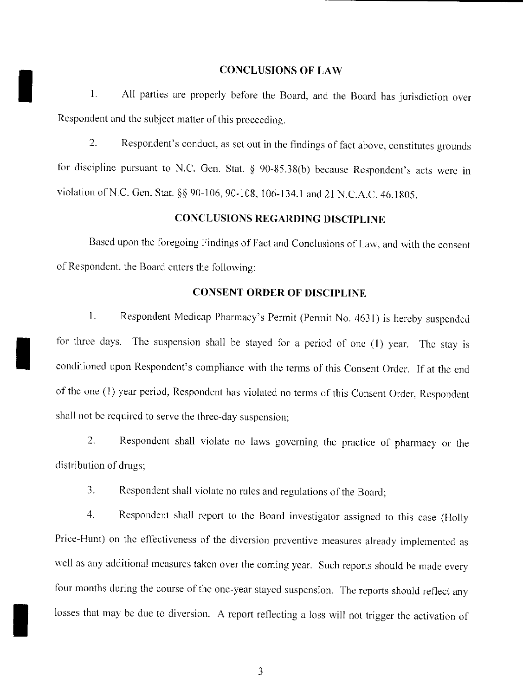#### CONCLUSIONS OF LAW

 $\blacksquare$ All parties are properly before the Board, and the Board has jurisdiction over Respondent and the subject matter of this proceeding.

2. Respondent's conduct, as set out in the findings of fact above, constitutes grounds for discipline pursuant to N.C. Gen. Stat.  $\S$  90-85.38(b) because Respondent's acts were in violation of N.C. Gen. Stat. §§ 90-106, 90-108, 106-134.1 and 21 N.C.A.C. 46.1805.

# CONCLUSIONS REGARDING DISCIPLINE

Based upon the foregoing Findings of Fact and Conclusions of Law, and with the consent of Respondent, the Board enters the following:

## CONSENT ORDER OF DISCIPLINE

1. Respondent Medicap Pharmacy's Permit (Permit No. 4631) is hereby suspended for three days. The suspension shall be stayed for a period of one  $(1)$  year. The stay is conditioned upon Respondcnt's compliance with the tenns of this Consent Order. If at the cnd of the one (1) year period, Respondent has violated no terms of this Consent Order, Respondent shall not be required to servc the three-day suspension;

2. Respondent shall violate no laws governing the practice of pharmacy or the distribution of drugs;

3. Respondent shall violate no rules and regulations of the Board;

I

I

4. Respondent shall report to the Board investigator assigned to this case (Holly Price-Hunt) on the effectiveness of the diversion preventive measures already implemented as well as any additional measures taken over the coming year. Such reports should be made every four months during the course of the one-year stayed suspension. The reports should reflect any losses that may be due to diversion. A report reflecting a loss will not trigger the activation of

3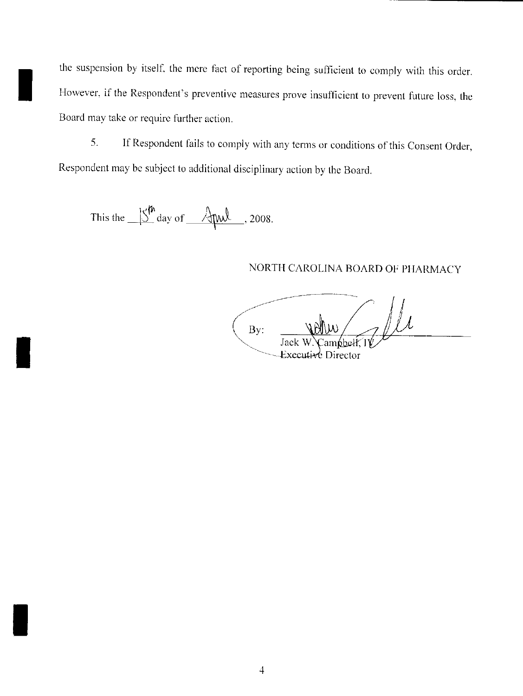the suspension by itself, the mere fact of reporting being sufficient to comply with this order. However, if the Respondent's preventive measures prove insufficient to prevent future loss, thc Board may take or requirc further action.

5. **If** Respondent fails to comply with any terms or conditions of this Consent Order, Respondent may bc subject to additional disciplinary action by the Board.

This the  $\underline{\hspace{1cm}}\int_{0}^{\hspace{1cm} \text{th}}\text{day of}}\, \underline{\hspace{1cm}}$   $\underline{\hspace{1cm}}$ , 2008.

I

I

I

## NORTH CAROLINA BOARD OF PIlARMACY

 $-\frac{1}{N}$  $By:$